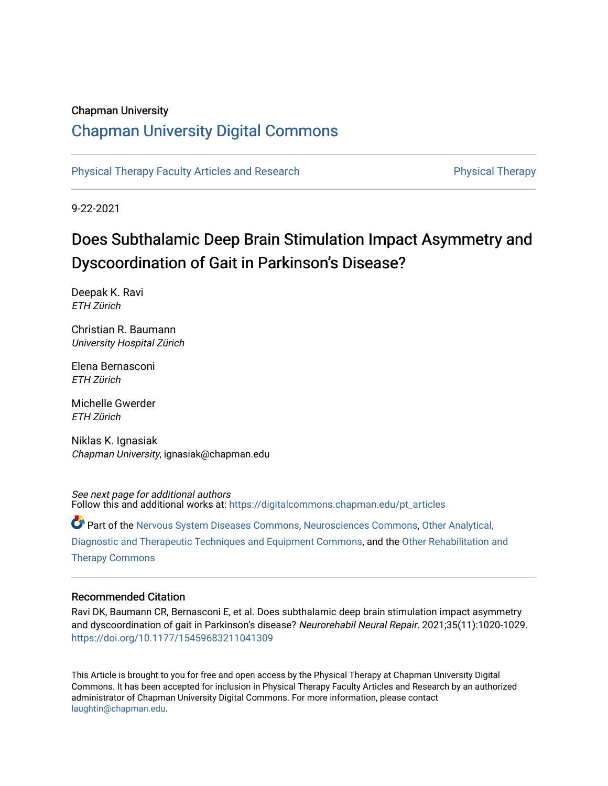## Chapman University

## [Chapman University Digital Commons](https://digitalcommons.chapman.edu/)

[Physical Therapy Faculty Articles and Research](https://digitalcommons.chapman.edu/pt_articles) **Physical Therapy** Physical Therapy

9-22-2021

# Does Subthalamic Deep Brain Stimulation Impact Asymmetry and Dyscoordination of Gait in Parkinson's Disease?

Deepak K. Ravi ETH Zürich

Christian R. Baumann University Hospital Zürich

Elena Bernasconi ETH Zürich

Michelle Gwerder ETH Zürich

Niklas K. Ignasiak Chapman University, ignasiak@chapman.edu

See next page for additional authors Follow this and additional works at: [https://digitalcommons.chapman.edu/pt\\_articles](https://digitalcommons.chapman.edu/pt_articles?utm_source=digitalcommons.chapman.edu%2Fpt_articles%2F163&utm_medium=PDF&utm_campaign=PDFCoverPages) 

Part of the [Nervous System Diseases Commons](http://network.bepress.com/hgg/discipline/928?utm_source=digitalcommons.chapman.edu%2Fpt_articles%2F163&utm_medium=PDF&utm_campaign=PDFCoverPages), [Neurosciences Commons,](http://network.bepress.com/hgg/discipline/1010?utm_source=digitalcommons.chapman.edu%2Fpt_articles%2F163&utm_medium=PDF&utm_campaign=PDFCoverPages) [Other Analytical,](http://network.bepress.com/hgg/discipline/994?utm_source=digitalcommons.chapman.edu%2Fpt_articles%2F163&utm_medium=PDF&utm_campaign=PDFCoverPages) [Diagnostic and Therapeutic Techniques and Equipment Commons](http://network.bepress.com/hgg/discipline/994?utm_source=digitalcommons.chapman.edu%2Fpt_articles%2F163&utm_medium=PDF&utm_campaign=PDFCoverPages), and the [Other Rehabilitation and](http://network.bepress.com/hgg/discipline/758?utm_source=digitalcommons.chapman.edu%2Fpt_articles%2F163&utm_medium=PDF&utm_campaign=PDFCoverPages)  [Therapy Commons](http://network.bepress.com/hgg/discipline/758?utm_source=digitalcommons.chapman.edu%2Fpt_articles%2F163&utm_medium=PDF&utm_campaign=PDFCoverPages)

### Recommended Citation

Ravi DK, Baumann CR, Bernasconi E, et al. Does subthalamic deep brain stimulation impact asymmetry and dyscoordination of gait in Parkinson's disease? Neurorehabil Neural Repair. 2021;35(11):1020-1029. <https://doi.org/10.1177/15459683211041309>

This Article is brought to you for free and open access by the Physical Therapy at Chapman University Digital Commons. It has been accepted for inclusion in Physical Therapy Faculty Articles and Research by an authorized administrator of Chapman University Digital Commons. For more information, please contact [laughtin@chapman.edu.](mailto:laughtin@chapman.edu)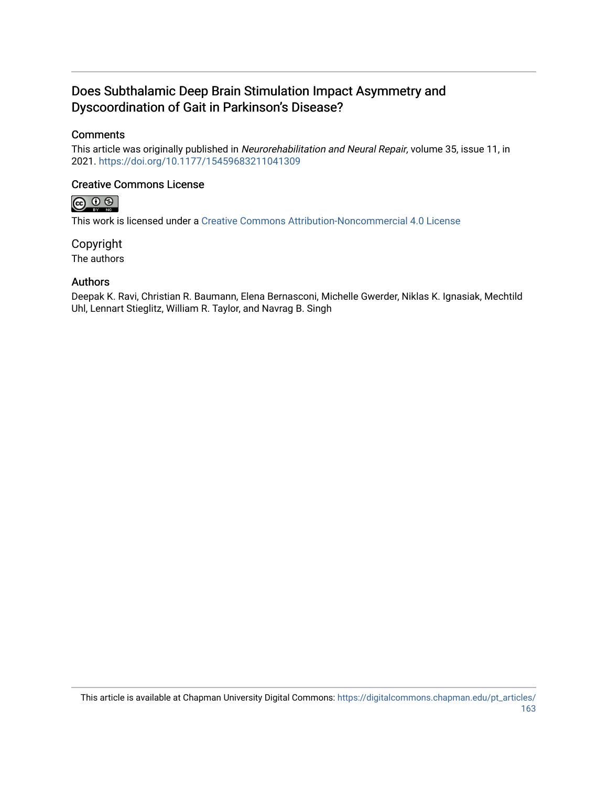## Does Subthalamic Deep Brain Stimulation Impact Asymmetry and Dyscoordination of Gait in Parkinson's Disease?

## **Comments**

This article was originally published in Neurorehabilitation and Neural Repair, volume 35, issue 11, in 2021. <https://doi.org/10.1177/15459683211041309>

## Creative Commons License



This work is licensed under a [Creative Commons Attribution-Noncommercial 4.0 License](https://creativecommons.org/licenses/by-nc/4.0/) 

Copyright The authors

## Authors

Deepak K. Ravi, Christian R. Baumann, Elena Bernasconi, Michelle Gwerder, Niklas K. Ignasiak, Mechtild Uhl, Lennart Stieglitz, William R. Taylor, and Navrag B. Singh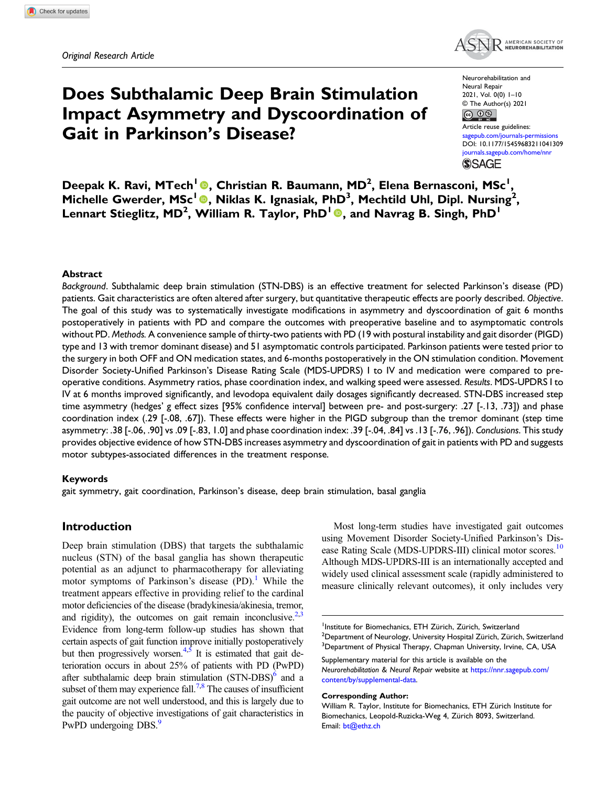

Does Subthalamic Deep Brain Stimulation Impact Asymmetry and Dyscoordination of Gait in Parkinson's Disease?

Neurorehabilitation and Neural Repair 2021, Vol. 0(0) 1–10 © The Author(s) 2021  $\circ$   $\circ$ 

Article reuse guidelines: pub.com/journals-permissions DOI: [10.1177/15459683211041309](https://doi.org/10.1177/15459683211041309) [journals.sagepub.com/home/nnr](https://journals.sagepub.com/home/nnr) **SSAGE** 

Deepak K. Ravi, MTech<sup>1</sup> ®, Christian R. Baumann, MD<sup>2</sup>, Elena Bernasconi, MSc<sup>1</sup>, Michelle Gwerder, MSc<sup>1</sup> <sup>®</sup>, Niklas K. Ignasiak, PhD<sup>3</sup>, Mechtild Uhl, Dipl. Nursing<sup>2</sup>, Lennart Stieglitz, MD<sup>2</sup>, William R. Taylor, PhD<sup>1</sup> ., and Navrag B. Singh, PhD<sup>1</sup>

#### Abstract

Background. Subthalamic deep brain stimulation (STN-DBS) is an effective treatment for selected Parkinson's disease (PD) patients. Gait characteristics are often altered after surgery, but quantitative therapeutic effects are poorly described. Objective. The goal of this study was to systematically investigate modifications in asymmetry and dyscoordination of gait 6 months postoperatively in patients with PD and compare the outcomes with preoperative baseline and to asymptomatic controls without PD. Methods. A convenience sample of thirty-two patients with PD (19 with postural instability and gait disorder (PIGD) type and 13 with tremor dominant disease) and 51 asymptomatic controls participated. Parkinson patients were tested prior to the surgery in both OFF and ON medication states, and 6-months postoperatively in the ON stimulation condition. Movement Disorder Society-Unified Parkinson's Disease Rating Scale (MDS-UPDRS) I to IV and medication were compared to preoperative conditions. Asymmetry ratios, phase coordination index, and walking speed were assessed. Results. MDS-UPDRS I to IV at 6 months improved significantly, and levodopa equivalent daily dosages significantly decreased. STN-DBS increased step time asymmetry (hedges' g effect sizes [95% confidence interval] between pre- and post-surgery: .27 [-.13, .73]) and phase coordination index (.29 [-.08, .67]). These effects were higher in the PIGD subgroup than the tremor dominant (step time asymmetry: .38 [-.06, .90] vs .09 [-.83, 1.0] and phase coordination index: .39 [-.04, .84] vs .13 [-.76, .96]). Conclusions. This study provides objective evidence of how STN-DBS increases asymmetry and dyscoordination of gait in patients with PD and suggests motor subtypes-associated differences in the treatment response.

#### Keywords

gait symmetry, gait coordination, Parkinson's disease, deep brain stimulation, basal ganglia

#### Introduction

Deep brain stimulation (DBS) that targets the subthalamic nucleus (STN) of the basal ganglia has shown therapeutic potential as an adjunct to pharmacotherapy for alleviating motor symptoms of Parkinson's disease  $(PD)$ . While the treatment appears effective in providing relief to the cardinal motor deficiencies of the disease (bradykinesia/akinesia, tremor, and rigidity), the outcomes on gait remain inconclusive.<sup>2,[3](#page-9-2)</sup> Evidence from long-term follow-up studies has shown that certain aspects of gait function improve initially postoperatively but then progressively worsen. $4,5$  $4,5$  It is estimated that gait deterioration occurs in about 25% of patients with PD (PwPD) after subthalamic deep brain stimulation  $(STN-DBS)$ <sup>6</sup> and a subset of them may experience fall.<sup>7,[8](#page-9-7)</sup> The causes of insufficient gait outcome are not well understood, and this is largely due to the paucity of objective investigations of gait characteristics in PwPD undergoing DBS.<sup>9</sup>

Most long-term studies have investigated gait outcomes using Movement Disorder Society-Unified Parkinson's Disease Rating Scale (MDS-UPDRS-III) clinical motor scores.<sup>10</sup> Although MDS-UPDRS-III is an internationally accepted and widely used clinical assessment scale (rapidly administered to measure clinically relevant outcomes), it only includes very

Neurorehabilitation & Neural Repair website at [https://nnr.sagepub.com/](https://nnr.sagepub.com/content/by/supplemental-data) [content/by/supplemental-data](https://nnr.sagepub.com/content/by/supplemental-data).

#### Corresponding Author:

<sup>1</sup> Institute for Biomechanics, ETH Zürich, Zürich, Switzerland  $^{\rm 2}$ Department of Neurology, University Hospital Zürich, Zürich, Switzerland <sup>3</sup>Department of Physical Therapy, Chapman University, Irvine, CA, USA Supplementary material for this article is available on the

William R. Taylor, Institute for Biomechanics, ETH Zürich Institute for Biomechanics, Leopold-Ruzicka-Weg 4, Zürich 8093, Switzerland. Email: [bt@ethz.ch](mailto:bt@ethz.ch)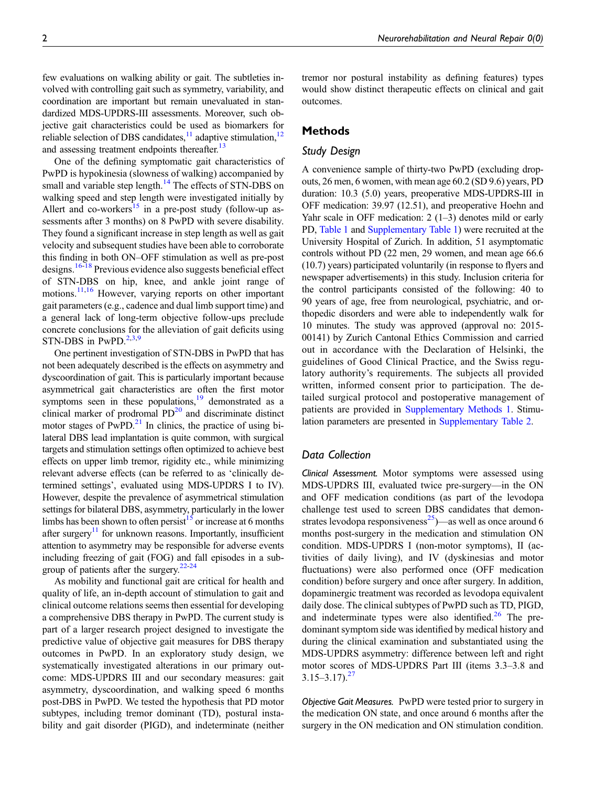few evaluations on walking ability or gait. The subtleties involved with controlling gait such as symmetry, variability, and coordination are important but remain unevaluated in standardized MDS-UPDRS-III assessments. Moreover, such objective gait characteristics could be used as biomarkers for reliable selection of DBS candidates, $\frac{11}{2}$  adaptive stimulation, $\frac{12}{2}$ and assessing treatment endpoints thereafter.<sup>[13](#page-9-12)</sup>

One of the defining symptomatic gait characteristics of PwPD is hypokinesia (slowness of walking) accompanied by small and variable step length.<sup>[14](#page-9-13)</sup> The effects of STN-DBS on walking speed and step length were investigated initially by Allert and co-workers<sup>[15](#page-9-14)</sup> in a pre-post study (follow-up assessments after 3 months) on 8 PwPD with severe disability. They found a significant increase in step length as well as gait velocity and subsequent studies have been able to corroborate this finding in both ON–OFF stimulation as well as pre-post designs.<sup>[16](#page-9-15)[-18](#page-10-0)</sup> Previous evidence also suggests beneficial effect of STN-DBS on hip, knee, and ankle joint range of motions.<sup>[11,](#page-9-10)[16](#page-9-15)</sup> However, varying reports on other important gait parameters (e.g., cadence and dual limb support time) and a general lack of long-term objective follow-ups preclude concrete conclusions for the alleviation of gait deficits using STN-DBS in PwPD. $2,3,9$  $2,3,9$  $2,3,9$ 

One pertinent investigation of STN-DBS in PwPD that has not been adequately described is the effects on asymmetry and dyscoordination of gait. This is particularly important because asymmetrical gait characteristics are often the first motor symptoms seen in these populations, $\frac{19}{2}$  demonstrated as a clinical marker of prodromal  $PD^{20}$  $PD^{20}$  $PD^{20}$  and discriminate distinct motor stages of  $PwPD<sup>21</sup>$  In clinics, the practice of using bilateral DBS lead implantation is quite common, with surgical targets and stimulation settings often optimized to achieve best effects on upper limb tremor, rigidity etc., while minimizing relevant adverse effects (can be referred to as 'clinically determined settings', evaluated using MDS-UPDRS I to IV). However, despite the prevalence of asymmetrical stimulation settings for bilateral DBS, asymmetry, particularly in the lower limbs has been shown to often persist<sup>15</sup> or increase at 6 months after surgery<sup>11</sup> for unknown reasons. Importantly, insufficient attention to asymmetry may be responsible for adverse events including freezing of gait (FOG) and fall episodes in a sub-group of patients after the surgery.<sup>22-[24](#page-10-5)</sup>

As mobility and functional gait are critical for health and quality of life, an in-depth account of stimulation to gait and clinical outcome relations seems then essential for developing a comprehensive DBS therapy in PwPD. The current study is part of a larger research project designed to investigate the predictive value of objective gait measures for DBS therapy outcomes in PwPD. In an exploratory study design, we systematically investigated alterations in our primary outcome: MDS-UPDRS III and our secondary measures: gait asymmetry, dyscoordination, and walking speed 6 months post-DBS in PwPD. We tested the hypothesis that PD motor subtypes, including tremor dominant (TD), postural instability and gait disorder (PIGD), and indeterminate (neither tremor nor postural instability as defining features) types would show distinct therapeutic effects on clinical and gait outcomes.

#### Methods

#### Study Design

A convenience sample of thirty-two PwPD (excluding dropouts, 26 men, 6 women, with mean age 60.2 (SD 9.6) years, PD duration: 10.3 (5.0) years, preoperative MDS-UPDRS-III in OFF medication: 39.97 (12.51), and preoperative Hoehn and Yahr scale in OFF medication: 2 (1–3) denotes mild or early PD, [Table 1](#page-4-0) and [Supplementary Table 1](https://journals.sagepub.com/doi/suppl/10.1177/15459683211041309)) were recruited at the University Hospital of Zurich. In addition, 51 asymptomatic controls without PD (22 men, 29 women, and mean age 66.6 (10.7) years) participated voluntarily (in response to flyers and newspaper advertisements) in this study. Inclusion criteria for the control participants consisted of the following: 40 to 90 years of age, free from neurological, psychiatric, and orthopedic disorders and were able to independently walk for 10 minutes. The study was approved (approval no: 2015- 00141) by Zurich Cantonal Ethics Commission and carried out in accordance with the Declaration of Helsinki, the guidelines of Good Clinical Practice, and the Swiss regulatory authority's requirements. The subjects all provided written, informed consent prior to participation. The detailed surgical protocol and postoperative management of patients are provided in [Supplementary Methods 1.](https://journals.sagepub.com/doi/suppl/10.1177/15459683211041309) Stimulation parameters are presented in [Supplementary Table 2.](https://journals.sagepub.com/doi/suppl/10.1177/15459683211041309)

#### Data Collection

Clinical Assessment. Motor symptoms were assessed using MDS-UPDRS III, evaluated twice pre-surgery—in the ON and OFF medication conditions (as part of the levodopa challenge test used to screen DBS candidates that demon-strates levodopa responsiveness<sup>[25](#page-10-6)</sup>)—as well as once around 6 months post-surgery in the medication and stimulation ON condition. MDS-UPDRS I (non-motor symptoms), II (activities of daily living), and IV (dyskinesias and motor fluctuations) were also performed once (OFF medication condition) before surgery and once after surgery. In addition, dopaminergic treatment was recorded as levodopa equivalent daily dose. The clinical subtypes of PwPD such as TD, PIGD, and indeterminate types were also identified.<sup>[26](#page-10-7)</sup> The predominant symptom side was identified by medical history and during the clinical examination and substantiated using the MDS-UPDRS asymmetry: difference between left and right motor scores of MDS-UPDRS Part III (items 3.3–3.8 and  $3.15 - 3.17$ .  $27$ 

Objective Gait Measures. PwPD were tested prior to surgery in the medication ON state, and once around 6 months after the surgery in the ON medication and ON stimulation condition.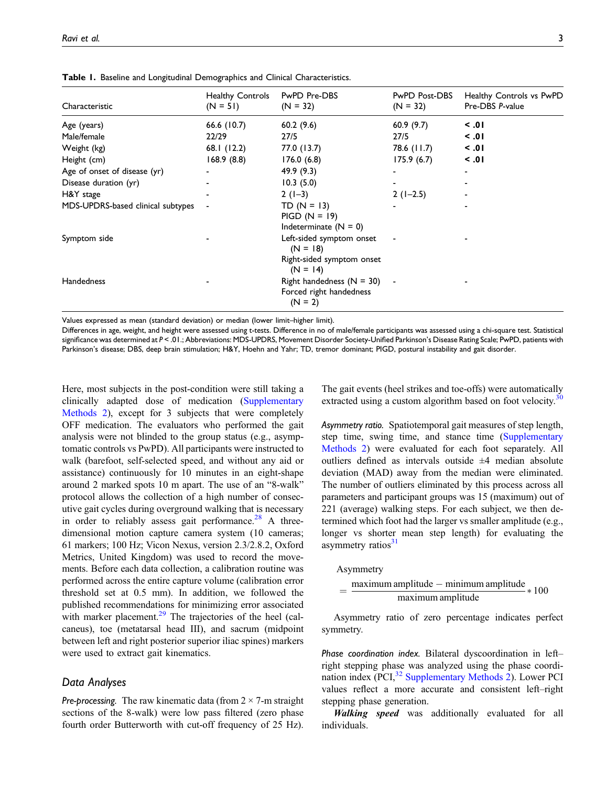| Characteristic                    | <b>Healthy Controls</b><br>$(N = 51)$ | PwPD Pre-DBS<br>$(N = 32)$                                                        | PwPD Post-DBS<br>$(N = 32)$ | Healthy Controls vs PwPD<br>Pre-DBS P-value |
|-----------------------------------|---------------------------------------|-----------------------------------------------------------------------------------|-----------------------------|---------------------------------------------|
| Age (years)                       | 66.6 (10.7)                           | 60.2(9.6)                                                                         | 60.9(9.7)                   | $\leq .01$                                  |
| Male/female                       | 22/29                                 | 27/5                                                                              | 27/5                        | $\leq .01$                                  |
| Weight (kg)                       | 68.1 (12.2)                           | 77.0 (13.7)                                                                       | 78.6 (11.7)                 | $\leq .01$                                  |
| Height (cm)                       | 168.9(8.8)                            | 176.0(6.8)                                                                        | 175.9(6.7)                  | $\leq .01$                                  |
| Age of onset of disease (yr)      |                                       | 49.9(9.3)                                                                         | ٠                           |                                             |
| Disease duration (yr)             |                                       | 10.3(5.0)                                                                         | ۰                           |                                             |
| H&Y stage                         |                                       | $2(1-3)$                                                                          | $2(1-2.5)$                  |                                             |
| MDS-UPDRS-based clinical subtypes |                                       | $TD (N = 13)$<br>$PIGD (N = 19)$<br>Indeterminate $(N = 0)$                       |                             |                                             |
| Symptom side                      |                                       | Left-sided symptom onset<br>$(N = 18)$<br>Right-sided symptom onset<br>$(N = 14)$ |                             |                                             |
| <b>Handedness</b>                 |                                       | Right handedness $(N = 30)$ -<br>Forced right handedness<br>$(N = 2)$             |                             |                                             |

Table 1. Baseline and Longitudinal Demographics and Clinical Characteristics.

Values expressed as mean (standard deviation) or median (lower limit–higher limit).

<span id="page-4-0"></span>Differences in age, weight, and height were assessed using t-tests. Difference in no of male/female participants was assessed using a chi-square test. Statistical significance was determined at P < .01.; Abbreviations: MDS-UPDRS, Movement Disorder Society-Unified Parkinson's Disease Rating Scale; PwPD, patients with Parkinson's disease; DBS, deep brain stimulation; H&Y, Hoehn and Yahr; TD, tremor dominant; PIGD, postural instability and gait disorder.

Here, most subjects in the post-condition were still taking a clinically adapted dose of medication [\(Supplementary](https://journals.sagepub.com/doi/suppl/10.1177/15459683211041309) [Methods 2\)](https://journals.sagepub.com/doi/suppl/10.1177/15459683211041309), except for 3 subjects that were completely OFF medication. The evaluators who performed the gait analysis were not blinded to the group status (e.g., asymptomatic controls vs PwPD). All participants were instructed to walk (barefoot, self-selected speed, and without any aid or assistance) continuously for 10 minutes in an eight-shape around 2 marked spots 10 m apart. The use of an "8-walk" protocol allows the collection of a high number of consecutive gait cycles during overground walking that is necessary in order to reliably assess gait performance.<sup>[28](#page-10-9)</sup> A threedimensional motion capture camera system (10 cameras; 61 markers; 100 Hz; Vicon Nexus, version 2.3/2.8.2, Oxford Metrics, United Kingdom) was used to record the movements. Before each data collection, a calibration routine was performed across the entire capture volume (calibration error threshold set at 0.5 mm). In addition, we followed the published recommendations for minimizing error associated with marker placement. $29$  The trajectories of the heel (calcaneus), toe (metatarsal head III), and sacrum (midpoint between left and right posterior superior iliac spines) markers were used to extract gait kinematics.

#### Data Analyses

**Pre-processing.** The raw kinematic data (from  $2 \times 7$ -m straight sections of the 8-walk) were low pass filtered (zero phase fourth order Butterworth with cut-off frequency of 25 Hz).

The gait events (heel strikes and toe-offs) were automatically extracted using a custom algorithm based on foot velocity.<sup>[30](#page-10-11)</sup>

Asymmetry ratio. Spatiotemporal gait measures of step length, step time, swing time, and stance time ([Supplementary](https://journals.sagepub.com/doi/suppl/10.1177/15459683211041309) [Methods 2](https://journals.sagepub.com/doi/suppl/10.1177/15459683211041309)) were evaluated for each foot separately. All outliers defined as intervals outside  $\pm 4$  median absolute deviation (MAD) away from the median were eliminated. The number of outliers eliminated by this process across all parameters and participant groups was 15 (maximum) out of 221 (average) walking steps. For each subject, we then determined which foot had the larger vs smaller amplitude (e.g., longer vs shorter mean step length) for evaluating the asymmetry ratios $31$ 

Asymmetry

$$
= \frac{\text{maximum amplitude} - \text{minimum amplitude}}{\text{maximum amplitude}} * 100
$$

Asymmetry ratio of zero percentage indicates perfect symmetry.

Phase coordination index. Bilateral dyscoordination in left– right stepping phase was analyzed using the phase coordi-nation index (PCI,<sup>[32](#page-10-13)</sup> [Supplementary Methods 2\)](https://journals.sagepub.com/doi/suppl/10.1177/15459683211041309). Lower PCI values reflect a more accurate and consistent left–right stepping phase generation.

Walking speed was additionally evaluated for all individuals.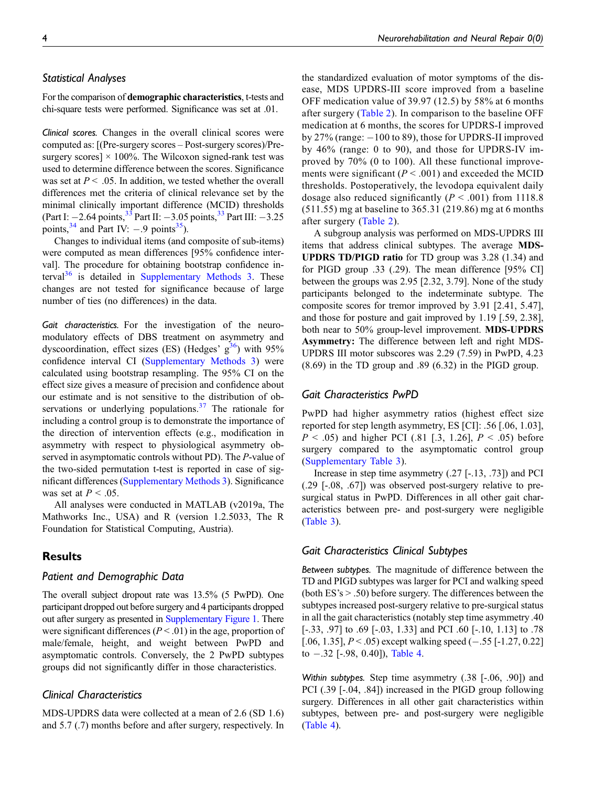#### Statistical Analyses

For the comparison of demographic characteristics, t-tests and chi-square tests were performed. Significance was set at .01.

Clinical scores. Changes in the overall clinical scores were computed as: [(Pre-surgery scores – Post-surgery scores)/Presurgery scores]  $\times$  100%. The Wilcoxon signed-rank test was used to determine difference between the scores. Significance was set at  $P < .05$ . In addition, we tested whether the overall differences met the criteria of clinical relevance set by the minimal clinically important difference (MCID) thresholds (Part I:  $-2.64$  points,  $^{3\overline{3}}$  Part III:  $-3.05$  points,  $^{3\overline{3}}$  Part III:  $-3.25$ points,  $34$  and Part IV:  $-.9$  points  $35$ ).

Changes to individual items (and composite of sub-items) were computed as mean differences [95% confidence interval]. The procedure for obtaining bootstrap confidence interval $36$  is detailed in [Supplementary Methods 3.](https://journals.sagepub.com/doi/suppl/10.1177/15459683211041309) These changes are not tested for significance because of large number of ties (no differences) in the data.

Gait characteristics. For the investigation of the neuromodulatory effects of DBS treatment on asymmetry and dyscoordination, effect sizes (ES) (Hedges'  $g^{36}$ ) with 95% confidence interval CI [\(Supplementary Methods 3\)](https://journals.sagepub.com/doi/suppl/10.1177/15459683211041309) were calculated using bootstrap resampling. The 95% CI on the effect size gives a measure of precision and confidence about our estimate and is not sensitive to the distribution of observations or underlying populations. $37$  The rationale for including a control group is to demonstrate the importance of the direction of intervention effects (e.g., modification in asymmetry with respect to physiological asymmetry observed in asymptomatic controls without PD). The P-value of the two-sided permutation t-test is reported in case of significant differences ([Supplementary Methods 3](https://journals.sagepub.com/doi/suppl/10.1177/15459683211041309)). Significance was set at  $P < .05$ .

All analyses were conducted in MATLAB (v2019a, The Mathworks Inc., USA) and R (version 1.2.5033, The R Foundation for Statistical Computing, Austria).

#### **Results**

#### Patient and Demographic Data

The overall subject dropout rate was 13.5% (5 PwPD). One participant dropped out before surgery and 4 participants dropped out after surgery as presented in [Supplementary Figure 1.](https://journals.sagepub.com/doi/suppl/10.1177/15459683211041309) There were significant differences ( $P < .01$ ) in the age, proportion of male/female, height, and weight between PwPD and asymptomatic controls. Conversely, the 2 PwPD subtypes groups did not significantly differ in those characteristics.

### Clinical Characteristics

MDS-UPDRS data were collected at a mean of 2.6 (SD 1.6) and 5.7 (.7) months before and after surgery, respectively. In

the standardized evaluation of motor symptoms of the disease, MDS UPDRS-III score improved from a baseline OFF medication value of 39.97 (12.5) by 58% at 6 months after surgery ([Table 2\)](#page-6-0). In comparison to the baseline OFF medication at 6 months, the scores for UPDRS-I improved by 27% (range: -100 to 89), those for UPDRS-II improved by 46% (range: 0 to 90), and those for UPDRS-IV improved by 70% (0 to 100). All these functional improvements were significant ( $P < .001$ ) and exceeded the MCID thresholds. Postoperatively, the levodopa equivalent daily dosage also reduced significantly  $(P < .001)$  from 1118.8 (511.55) mg at baseline to 365.31 (219.86) mg at 6 months after surgery ([Table 2\)](#page-6-0).

A subgroup analysis was performed on MDS-UPDRS III items that address clinical subtypes. The average MDS-UPDRS TD/PIGD ratio for TD group was 3.28 (1.34) and for PIGD group .33 (.29). The mean difference [95% CI] between the groups was 2.95 [2.32, 3.79]. None of the study participants belonged to the indeterminate subtype. The composite scores for tremor improved by 3.91 [2.41, 5.47], and those for posture and gait improved by 1.19 [.59, 2.38], both near to 50% group-level improvement. MDS-UPDRS Asymmetry: The difference between left and right MDS-UPDRS III motor subscores was 2.29 (7.59) in PwPD, 4.23 (8.69) in the TD group and .89 (6.32) in the PIGD group.

#### Gait Characteristics PwPD

PwPD had higher asymmetry ratios (highest effect size reported for step length asymmetry, ES [CI]: .56 [.06, 1.03],  $P < .05$ ) and higher PCI (.81 [.3, 1.26],  $P < .05$ ) before surgery compared to the asymptomatic control group ([Supplementary Table 3](https://journals.sagepub.com/doi/suppl/10.1177/15459683211041309)).

Increase in step time asymmetry (.27 [-.13, .73]) and PCI (.29 [-.08, .67]) was observed post-surgery relative to presurgical status in PwPD. Differences in all other gait characteristics between pre- and post-surgery were negligible ([Table 3\)](#page-7-0).

#### Gait Characteristics Clinical Subtypes

Between subtypes. The magnitude of difference between the TD and PIGD subtypes was larger for PCI and walking speed (both ES's > .50) before surgery. The differences between the subtypes increased post-surgery relative to pre-surgical status in all the gait characteristics (notably step time asymmetry .40 [-.33, .97] to .69 [-.03, 1.33] and PCI .60 [-.10, 1.13] to .78 [.06, 1.35],  $P < .05$ ) except walking speed (-.55 [-1.27, 0.22] to -.32 [-.98, 0.40]), [Table 4.](#page-8-0)

Within subtypes. Step time asymmetry (.38 [-.06, .90]) and PCI (.39 [-.04, .84]) increased in the PIGD group following surgery. Differences in all other gait characteristics within subtypes, between pre- and post-surgery were negligible ([Table 4\)](#page-8-0).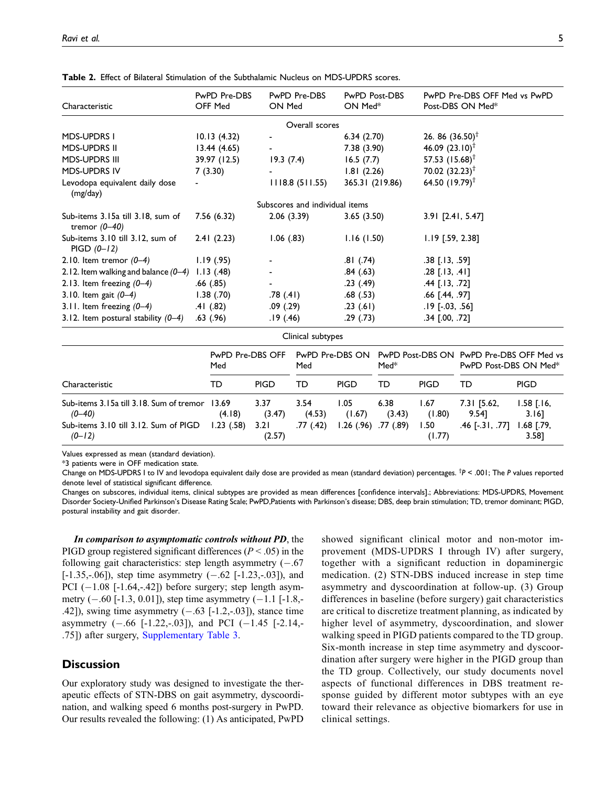| Characteristic                                       | PwPD Pre-DBS<br>OFF Med | PwPD Pre-DBS<br>ON Med         | PwPD Post-DBS<br>ON Med <sup>*</sup> | PwPD Pre-DBS OFF Med vs PwPD<br>Post-DBS ON Med* |
|------------------------------------------------------|-------------------------|--------------------------------|--------------------------------------|--------------------------------------------------|
|                                                      |                         | Overall scores                 |                                      |                                                  |
| <b>MDS-UPDRS I</b>                                   | 10.13(4.32)             | $\blacksquare$                 | 6.34(2.70)                           | 26.86 $(36.50)^{\dagger}$                        |
| <b>MDS-UPDRS II</b>                                  | 13.44(4.65)             | $\sim 100$                     | 7.38 (3.90)                          | 46.09 $(23.10)^{\dagger}$                        |
| <b>MDS-UPDRS III</b>                                 | 39.97 (12.5)            | 19.3(7.4)                      | 16.5(7.7)                            | 57.53 $(15.68)^{\dagger}$                        |
| <b>MDS-UPDRS IV</b>                                  | 7(3.30)                 |                                | 1.81(2.26)                           | 70.02 $(32.23)^{\dagger}$                        |
| Levodopa equivalent daily dose<br>(mg/day)           |                         | 1118.8(511.55)                 | 365.31 (219.86)                      | 64.50 $(19.79)^{\dagger}$                        |
|                                                      |                         | Subscores and individual items |                                      |                                                  |
| Sub-items 3.15a till 3.18, sum of<br>tremor $(0-40)$ | 7.56 (6.32)             | 2.06(3.39)                     | 3.65(3.50)                           | 3.91 [2.41, 5.47]                                |
| Sub-items 3.10 till 3.12, sum of<br>$PIGD (0-12)$    | 2.41(2.23)              | $1.06$ $(.83)$                 | 1.16(1.50)                           | $1.19$ [.59, 2.38]                               |
| 2.10. Item tremor $(0-4)$                            | 1.19(0.95)              |                                | .81 (.74)                            | $.38$ [.13, .59]                                 |
| 2.12. Item walking and balance $(0-4)$ 1.13 (.48)    |                         |                                | .84 (.63)                            | $.28$ [.13, .41]                                 |
| 2.13. Item freezing $(0-4)$                          | .66 (.85)               |                                | .23(.49)                             | $.44$ [.13, .72]                                 |
| 3.10. Item gait $(0-4)$                              | 1.38(0.70)              | .78 (.41)                      | .68(.53)                             | .66 [.44, .97]                                   |
| 3.11. Item freezing $(0-4)$                          | .41 (.82)               | .09 (.29)                      | .23(.61)                             | $.19$ [ $-.03, .56$ ]                            |
| 3.12. Item postural stability $(0-4)$                | .63(.96)                | .19 (.46)                      | .29 (.73)                            | $.34$ $[.00, .72]$                               |

Table 2. Effect of Bilateral Stimulation of the Subthalamic Nucleus on MDS-UPDRS scores.

|                                                              |                         |                | $-$            |                 |                |                |                                                                   |                            |
|--------------------------------------------------------------|-------------------------|----------------|----------------|-----------------|----------------|----------------|-------------------------------------------------------------------|----------------------------|
|                                                              | PwPD Pre-DBS OFF<br>Med |                | Med            | PwPD Pre-DBS ON | $Med*$         |                | PwPD Post-DBS ON PwPD Pre-DBS OFF Med vs<br>PwPD Post-DBS ON Med* |                            |
| Characteristic                                               | TD                      | <b>PIGD</b>    | TD             | <b>PIGD</b>     | TD             | PIGD           | TD                                                                | <b>PIGD</b>                |
| Sub-items 3.15a till 3.18. Sum of tremor 13.69<br>$(0 - 40)$ | (4.18)                  | 3.37<br>(3.47) | 3.54<br>(4.53) | 1.05<br>(1.67)  | 6.38<br>(3.43) | 1.67<br>(1.80) | $7.31$ [5.62,<br>9.541                                            | $1.58$ $[.16,$<br>$3.16$ ] |
| Sub-items 3.10 till 3.12. Sum of PIGD<br>$(0-12)$            | $1.23$ (.58)            | 3.21<br>(2.57) | .77(.42)       | 1.26(0.96)      | .77 (.89)      | 1.50<br>(1.77) | $.46$ [ $-.31, .77$ ]                                             | $.68$ $[.79,$<br>3.581     |

Clinical subtypes

Values expressed as mean (standard deviation).

\*3 patients were in OFF medication state.

Change on MDS-UPDRS I to IV and levodopa equivalent daily dose are provided as mean (standard deviation) percentages. <sup>†</sup>P < .001; The P values reported denote level of statistical significant difference.

<span id="page-6-0"></span>Changes on subscores, individual items, clinical subtypes are provided as mean differences [confidence intervals].; Abbreviations: MDS-UPDRS, Movement Disorder Society-Unified Parkinson's Disease Rating Scale; PwPD,Patients with Parkinson's disease; DBS, deep brain stimulation; TD, tremor dominant; PIGD, postural instability and gait disorder.

In comparison to asymptomatic controls without PD, the PIGD group registered significant differences ( $P < .05$ ) in the following gait characteristics: step length asymmetry  $(-.67)$  $[-1.35, -0.06]$ , step time asymmetry  $(-.62 \; [-1.23, -0.03])$ , and  $PCI$   $(-1.08$   $[-1.64, -42])$  before surgery; step length asymmetry  $(-.60 [-1.3, 0.01])$ , step time asymmetry  $(-1.1 [-1.8, -1.00]$ .42]), swing time asymmetry  $(-.63 \; [-1.2, -0.03])$ , stance time asymmetry  $(-.66 \text{ [-}1.22,-.03])$ , and PCI  $(-1.45 \text{ [-}2.14,-.03])$ .75]) after surgery, [Supplementary Table 3.](https://journals.sagepub.com/doi/suppl/10.1177/15459683211041309)

#### **Discussion**

Our exploratory study was designed to investigate the therapeutic effects of STN-DBS on gait asymmetry, dyscoordination, and walking speed 6 months post-surgery in PwPD. Our results revealed the following: (1) As anticipated, PwPD showed significant clinical motor and non-motor improvement (MDS-UPDRS I through IV) after surgery, together with a significant reduction in dopaminergic medication. (2) STN-DBS induced increase in step time asymmetry and dyscoordination at follow-up. (3) Group differences in baseline (before surgery) gait characteristics are critical to discretize treatment planning, as indicated by higher level of asymmetry, dyscoordination, and slower walking speed in PIGD patients compared to the TD group. Six-month increase in step time asymmetry and dyscoordination after surgery were higher in the PIGD group than the TD group. Collectively, our study documents novel aspects of functional differences in DBS treatment response guided by different motor subtypes with an eye toward their relevance as objective biomarkers for use in clinical settings.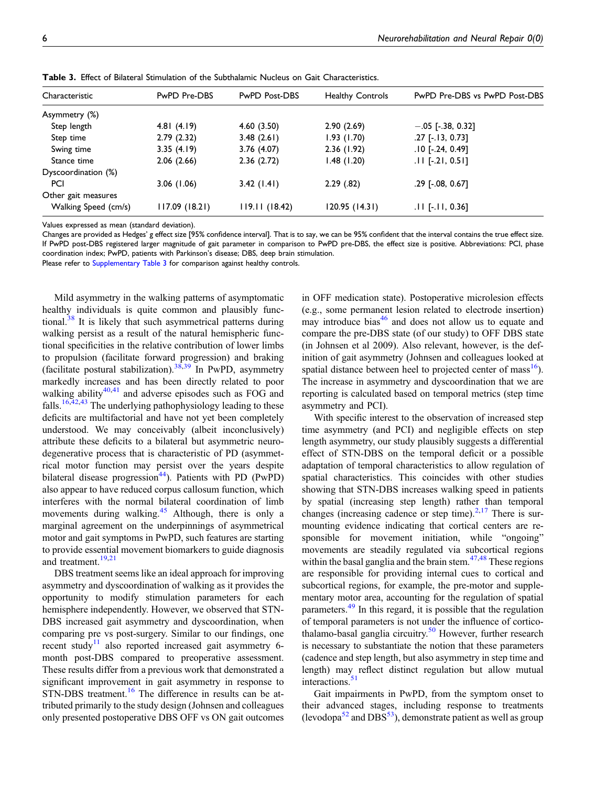| Characteristic       | PwPD Pre-DBS  | <b>PwPD Post-DBS</b> | <b>Healthy Controls</b> | PwPD Pre-DBS vs PwPD Post-DBS |
|----------------------|---------------|----------------------|-------------------------|-------------------------------|
| Asymmetry (%)        |               |                      |                         |                               |
| Step length          | 4.81(4.19)    | 4.60(3.50)           | 2.90(2.69)              | $-.05$ [-.38, 0.32]           |
| Step time            | 2.79(2.32)    | 3.48(2.61)           | 1.93(1.70)              | $.27$ [ $-.13, 0.73$ ]        |
| Swing time           | 3.35(4.19)    | 3.76(4.07)           | 2.36(1.92)              | $.10$ [ $-.24$ , 0.49]        |
| Stance time          | 2.06(2.66)    | 2.36(2.72)           | 1.48(1.20)              | $.11$ [ $-.21, 0.51$ ]        |
| Dyscoordination (%)  |               |                      |                         |                               |
| PCI                  | 3.06(1.06)    | 3.42(1.41)           | 2.29(.82)               | $.29$ [ $-.08$ , $0.67$ ]     |
| Other gait measures  |               |                      |                         |                               |
| Walking Speed (cm/s) | 117.09(18.21) | 119.11(18.42)        | 120.95 (14.31)          | $.11$ [-.11, 0.36]            |

Table 3. Effect of Bilateral Stimulation of the Subthalamic Nucleus on Gait Characteristics.

Values expressed as mean (standard deviation).

Changes are provided as Hedges' g effect size [95% confidence interval]. That is to say, we can be 95% confident that the interval contains the true effect size. If PwPD post-DBS registered larger magnitude of gait parameter in comparison to PwPD pre-DBS, the effect size is positive. Abbreviations: PCI, phase coordination index; PwPD, patients with Parkinson's disease; DBS, deep brain stimulation.

<span id="page-7-0"></span>Please refer to [Supplementary Table 3](https://journals.sagepub.com/doi/suppl/10.1177/15459683211041309) for comparison against healthy controls.

Mild asymmetry in the walking patterns of asymptomatic healthy individuals is quite common and plausibly func-tional.<sup>[38](#page-10-19)</sup> It is likely that such asymmetrical patterns during walking persist as a result of the natural hemispheric functional specificities in the relative contribution of lower limbs to propulsion (facilitate forward progression) and braking (facilitate postural stabilization).<sup>[38,](#page-10-19)[39](#page-10-20)</sup> In PwPD, asymmetry markedly increases and has been directly related to poor walking ability $40,41$  $40,41$  $40,41$  and adverse episodes such as FOG and falls.<sup>[16,](#page-9-15)[42](#page-10-23)[,43](#page-10-24)</sup> The underlying pathophysiology leading to these deficits are multifactorial and have not yet been completely understood. We may conceivably (albeit inconclusively) attribute these deficits to a bilateral but asymmetric neurodegenerative process that is characteristic of PD (asymmetrical motor function may persist over the years despite bilateral disease progression<sup>[44](#page-10-25)</sup>). Patients with PD (PwPD) also appear to have reduced corpus callosum function, which interferes with the normal bilateral coordination of limb movements during walking.<sup>[45](#page-10-26)</sup> Although, there is only a marginal agreement on the underpinnings of asymmetrical motor and gait symptoms in PwPD, such features are starting to provide essential movement biomarkers to guide diagnosis and treatment.<sup>[19,](#page-10-1)[21](#page-10-3)</sup>

DBS treatment seems like an ideal approach for improving asymmetry and dyscoordination of walking as it provides the opportunity to modify stimulation parameters for each hemisphere independently. However, we observed that STN-DBS increased gait asymmetry and dyscoordination, when comparing pre vs post-surgery. Similar to our findings, one recent study<sup>[11](#page-9-10)</sup> also reported increased gait asymmetry 6month post-DBS compared to preoperative assessment. These results differ from a previous work that demonstrated a significant improvement in gait asymmetry in response to STN-DBS treatment.<sup>[16](#page-9-15)</sup> The difference in results can be attributed primarily to the study design (Johnsen and colleagues only presented postoperative DBS OFF vs ON gait outcomes

in OFF medication state). Postoperative microlesion effects (e.g., some permanent lesion related to electrode insertion) may introduce bias $46$  and does not allow us to equate and compare the pre-DBS state (of our study) to OFF DBS state (in Johnsen et al 2009). Also relevant, however, is the definition of gait asymmetry (Johnsen and colleagues looked at spatial distance between heel to projected center of mass  $^{16}$ ). The increase in asymmetry and dyscoordination that we are reporting is calculated based on temporal metrics (step time asymmetry and PCI).

With specific interest to the observation of increased step time asymmetry (and PCI) and negligible effects on step length asymmetry, our study plausibly suggests a differential effect of STN-DBS on the temporal deficit or a possible adaptation of temporal characteristics to allow regulation of spatial characteristics. This coincides with other studies showing that STN-DBS increases walking speed in patients by spatial (increasing step length) rather than temporal changes (increasing cadence or step time). $2,17$  $2,17$  There is surmounting evidence indicating that cortical centers are responsible for movement initiation, while "ongoing" movements are steadily regulated via subcortical regions within the basal ganglia and the brain stem. $47,48$  $47,48$  These regions are responsible for providing internal cues to cortical and subcortical regions, for example, the pre-motor and supplementary motor area, accounting for the regulation of spatial parameters.[49](#page-10-31) In this regard, it is possible that the regulation of temporal parameters is not under the influence of cortico-thalamo-basal ganglia circuitry.<sup>[50](#page-11-0)</sup> However, further research is necessary to substantiate the notion that these parameters (cadence and step length, but also asymmetry in step time and length) may reflect distinct regulation but allow mutual interactions.<sup>51</sup>

Gait impairments in PwPD, from the symptom onset to their advanced stages, including response to treatments (levodopa $52$  and DBS $53$ ), demonstrate patient as well as group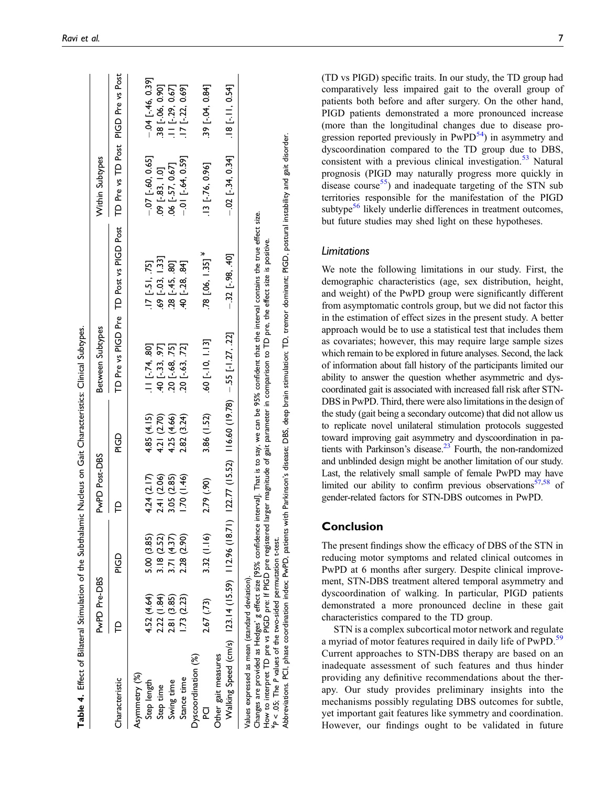|                                                                           | PwPD Pre-DBS |             | PwPD Post-DBS |             | Between Subtypes                                            |                                         | Within Subtypes                    |                       |
|---------------------------------------------------------------------------|--------------|-------------|---------------|-------------|-------------------------------------------------------------|-----------------------------------------|------------------------------------|-----------------------|
| Characteristic                                                            |              | CD<br>E     |               | GD<br>Pic   |                                                             | TD Pre vs PIGD Pre TD Post vs PIGD Post | TD Pre vs TD Post PIGD Pre vs Post |                       |
| Asymmetry (%)                                                             |              |             |               |             |                                                             |                                         |                                    |                       |
| Step length                                                               | 4.52 (4.64)  | 5.00 (3.85) | 4.24(2.17)    | 4.85 (4.15) | $.11$ [ $-74, .80$ ]                                        | $.17$ [-.51, .75]                       | $-.07$ [ $-.60, 0.65$ ]            | $-04$ [ $-46$ , 0.39] |
| Step time                                                                 | 2.22(1.84)   | 3.18 (2.52) | 2.41 (2.06)   | 4.21 (2.70) | $-40$ $[-.33, .97]$                                         | $.69$ $[-.03, 1.33]$                    | $.09$ [ $-83$ , $1.0$ ]            | 38 [-.06, 0.90]       |
| Swing time                                                                | 2.81 (3.85)  | 3.71 (4.37) | 3.05 (2.85)   | 4.25 (4.66) | 20 [-.68, .75]                                              | $.28$ [-.45, .80]                       | 06 [-.57, 0.67]                    | $11$ [-.29, 0.67]     |
| Stance time                                                               | 1.73(2.23)   | 2.28 (2.90) | 1.70(1.46)    | 2.82 (3.24) | $20$ [-.63, .72]                                            | 40 [-.28, .84]                          | $-0.01$ [ $-64$ , 0.59]            | 17 [-.22, 0.69]       |
| Dyscoordination (%)                                                       |              |             |               |             |                                                             |                                         |                                    |                       |
|                                                                           | 2.67 (.73)   | 3.32(1.16)  | 2.79 (.90)    | 3.86 (1.52) | $.60$ [ $-.10, 1.13$ ]                                      | $.78$ [.06, 1.35] $*$                   | $.13$ [ $-.76, 0.96$ ]             | .39 [-.04, 0.84]      |
| Walking Speed (cm/s) 123.14 (15.59) 112.96 (18.71)<br>Other gait measures |              |             |               |             | $(12.77 \ (15.52)$ $116.60 \ (19.78)$ $-.55$ $[-1.27, .22]$ | $-32$ [-.98, .40]                       | $-0.02$ [ $-34$ , 0.34]            | $.18$ [-.11, 0.54]    |
|                                                                           |              |             |               |             |                                                             |                                         |                                    |                       |

<span id="page-8-0"></span>(TD vs PIGD) specific traits. In our study, the TD group had comparatively less impaired gait to the overall group of patients both before and after surgery. On the other hand, PIGD patients demonstrated a more pronounced increase (more than the longitudinal changes due to disease progression reported previously in  $PwPD<sup>54</sup>$  in asymmetry and dyscoordination compared to the TD group due to DBS, consistent with a previous clinical investigation. $53$  Natural prognosis (PIGD may naturally progress more quickly in disease course<sup>55</sup>) and inadequate targeting of the STN sub territories responsible for the manifestation of the PIGD subtype $56$  likely underlie differences in treatment outcomes, but future studies may shed light on these hypotheses.

#### Limitations

We note the following limitations in our study. First, the demographic characteristics (age, sex distribution, height, and weight) of the PwPD group were significantly different from asymptomatic controls group, but we did not factor this in the estimation of effect sizes in the present study. A better approach would be to use a statistical test that includes them as covariates; however, this may require large sample sizes which remain to be explored in future analyses. Second, the lack of information about fall history of the participants limited our ability to answer the question whether asymmetric and dyscoordinated gait is associated with increased fall risk after STN-DBS in PwPD. Third, there were also limitations in the design of the study (gait being a secondary outcome) that did not allow us to replicate novel unilateral stimulation protocols suggested toward improving gait asymmetry and dyscoordination in patients with Parkinson's disease. $23$  Fourth, the non-randomized and unblinded design might be another limitation of our study. Last, the relatively small sample of female PwPD may have limited our ability to confirm previous observations<sup>[57,](#page-11-7)[58](#page-11-8)</sup> of gender-related factors for STN-DBS outcomes in PwPD.

#### Conclusion

¥ P

< .05; The P values of the two-sided permutation t-test.

Abbreviations. PCI, phase coordination index; PwPD, patients with Parkinson's disease; DBS, deep brain stimulation; TD, tremor dominant; PIGD, postural instability and gait disorder.

The present findings show the efficacy of DBS of the STN in reducing motor symptoms and related clinical outcomes in PwPD at 6 months after surgery. Despite clinical improvement, STN-DBS treatment altered temporal asymmetry and dyscoordination of walking. In particular, PIGD patients demonstrated a more pronounced decline in these gait characteristics compared to the TD group.

STN is a complex subcortical motor network and regulate a myriad of motor features required in daily life of PwPD.<sup>[59](#page-11-9)</sup> Current approaches to STN-DBS therapy are based on an inadequate assessment of such features and thus hinder providing any definitive recommendations about the therapy. Our study provides preliminary insights into the mechanisms possibly regulating DBS outcomes for subtle, yet important gait features like symmetry and coordination. However, our findings ought to be validated in future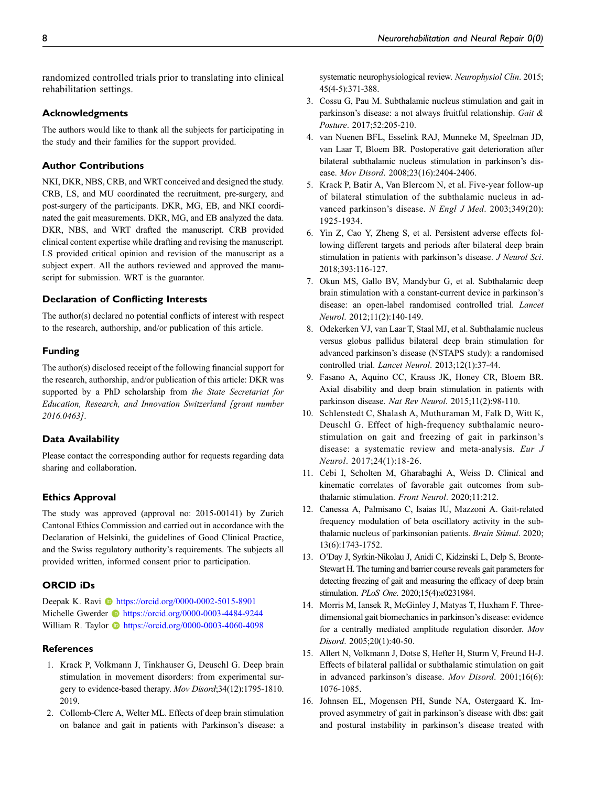randomized controlled trials prior to translating into clinical rehabilitation settings.

#### Acknowledgments

The authors would like to thank all the subjects for participating in the study and their families for the support provided.

#### Author Contributions

NKI, DKR, NBS, CRB, and WRT conceived and designed the study. CRB, LS, and MU coordinated the recruitment, pre-surgery, and post-surgery of the participants. DKR, MG, EB, and NKI coordinated the gait measurements. DKR, MG, and EB analyzed the data. DKR, NBS, and WRT drafted the manuscript. CRB provided clinical content expertise while drafting and revising the manuscript. LS provided critical opinion and revision of the manuscript as a subject expert. All the authors reviewed and approved the manuscript for submission. WRT is the guarantor.

#### Declaration of Conflicting Interests

The author(s) declared no potential conflicts of interest with respect to the research, authorship, and/or publication of this article.

#### Funding

The author(s) disclosed receipt of the following financial support for the research, authorship, and/or publication of this article: DKR was supported by a PhD scholarship from the State Secretariat for Education, Research, and Innovation Switzerland [grant number 2016.0463].

#### Data Availability

Please contact the corresponding author for requests regarding data sharing and collaboration.

#### Ethics Approval

The study was approved (approval no: 2015-00141) by Zurich Cantonal Ethics Commission and carried out in accordance with the Declaration of Helsinki, the guidelines of Good Clinical Practice, and the Swiss regulatory authority's requirements. The subjects all provided written, informed consent prior to participation.

#### ORCID iDs

Deepak K. Ravi **I** <https://orcid.org/0000-0002-5015-8901> Michelle Gwerder **ID** <https://orcid.org/0000-0003-4484-9244> William R. Taylor **b** <https://orcid.org/0000-0003-4060-4098>

#### **References**

- <span id="page-9-0"></span>1. Krack P, Volkmann J, Tinkhauser G, Deuschl G. Deep brain stimulation in movement disorders: from experimental surgery to evidence-based therapy. Mov Disord;34(12):1795-1810. 2019.
- <span id="page-9-1"></span>2. Collomb-Clerc A, Welter ML. Effects of deep brain stimulation on balance and gait in patients with Parkinson's disease: a

systematic neurophysiological review. Neurophysiol Clin. 2015; 45(4-5):371-388.

- <span id="page-9-2"></span>3. Cossu G, Pau M. Subthalamic nucleus stimulation and gait in parkinson's disease: a not always fruitful relationship. Gait & Posture. 2017;52:205-210.
- <span id="page-9-3"></span>4. van Nuenen BFL, Esselink RAJ, Munneke M, Speelman JD, van Laar T, Bloem BR. Postoperative gait deterioration after bilateral subthalamic nucleus stimulation in parkinson's disease. Mov Disord. 2008;23(16):2404-2406.
- <span id="page-9-4"></span>5. Krack P, Batir A, Van Blercom N, et al. Five-year follow-up of bilateral stimulation of the subthalamic nucleus in advanced parkinson's disease. N Engl J Med. 2003;349(20): 1925-1934.
- <span id="page-9-5"></span>6. Yin Z, Cao Y, Zheng S, et al. Persistent adverse effects following different targets and periods after bilateral deep brain stimulation in patients with parkinson's disease. J Neurol Sci. 2018;393:116-127.
- <span id="page-9-6"></span>7. Okun MS, Gallo BV, Mandybur G, et al. Subthalamic deep brain stimulation with a constant-current device in parkinson's disease: an open-label randomised controlled trial. Lancet Neurol. 2012;11(2):140-149.
- <span id="page-9-7"></span>8. Odekerken VJ, van Laar T, Staal MJ, et al. Subthalamic nucleus versus globus pallidus bilateral deep brain stimulation for advanced parkinson's disease (NSTAPS study): a randomised controlled trial. Lancet Neurol. 2013;12(1):37-44.
- <span id="page-9-8"></span>9. Fasano A, Aquino CC, Krauss JK, Honey CR, Bloem BR. Axial disability and deep brain stimulation in patients with parkinson disease. Nat Rev Neurol. 2015;11(2):98-110.
- <span id="page-9-9"></span>10. Schlenstedt C, Shalash A, Muthuraman M, Falk D, Witt K, Deuschl G. Effect of high-frequency subthalamic neurostimulation on gait and freezing of gait in parkinson's disease: a systematic review and meta-analysis. Eur J Neurol. 2017;24(1):18-26.
- <span id="page-9-10"></span>11. Cebi I, Scholten M, Gharabaghi A, Weiss D. Clinical and kinematic correlates of favorable gait outcomes from subthalamic stimulation. Front Neurol. 2020;11:212.
- <span id="page-9-11"></span>12. Canessa A, Palmisano C, Isaias IU, Mazzoni A. Gait-related frequency modulation of beta oscillatory activity in the subthalamic nucleus of parkinsonian patients. Brain Stimul. 2020; 13(6):1743-1752.
- <span id="page-9-12"></span>13. O'Day J, Syrkin-Nikolau J, Anidi C, Kidzinski L, Delp S, Bronte-Stewart H. The turning and barrier course reveals gait parameters for detecting freezing of gait and measuring the efficacy of deep brain stimulation. PLoS One. 2020;15(4):e0231984.
- <span id="page-9-13"></span>14. Morris M, Iansek R, McGinley J, Matyas T, Huxham F. Threedimensional gait biomechanics in parkinson's disease: evidence for a centrally mediated amplitude regulation disorder. Mov Disord. 2005;20(1):40-50.
- <span id="page-9-14"></span>15. Allert N, Volkmann J, Dotse S, Hefter H, Sturm V, Freund H-J. Effects of bilateral pallidal or subthalamic stimulation on gait in advanced parkinson's disease. Mov Disord. 2001;16(6): 1076-1085.
- <span id="page-9-15"></span>16. Johnsen EL, Mogensen PH, Sunde NA, Ostergaard K. Improved asymmetry of gait in parkinson's disease with dbs: gait and postural instability in parkinson's disease treated with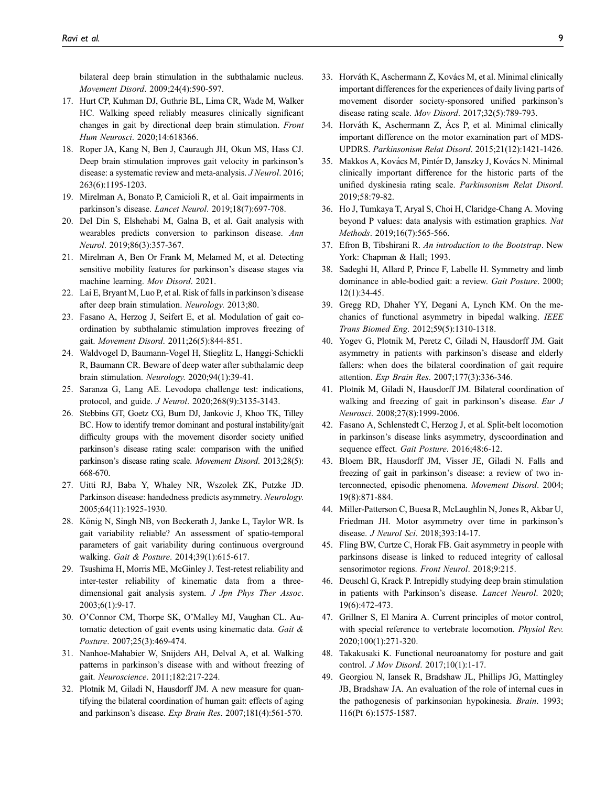bilateral deep brain stimulation in the subthalamic nucleus. Movement Disord. 2009;24(4):590-597.

- <span id="page-10-28"></span>17. Hurt CP, Kuhman DJ, Guthrie BL, Lima CR, Wade M, Walker HC. Walking speed reliably measures clinically significant changes in gait by directional deep brain stimulation. Front Hum Neurosci. 2020;14:618366.
- <span id="page-10-0"></span>18. Roper JA, Kang N, Ben J, Cauraugh JH, Okun MS, Hass CJ. Deep brain stimulation improves gait velocity in parkinson's disease: a systematic review and meta-analysis. J Neurol. 2016; 263(6):1195-1203.
- <span id="page-10-1"></span>19. Mirelman A, Bonato P, Camicioli R, et al. Gait impairments in parkinson's disease. Lancet Neurol. 2019;18(7):697-708.
- <span id="page-10-2"></span>20. Del Din S, Elshehabi M, Galna B, et al. Gait analysis with wearables predicts conversion to parkinson disease. Ann Neurol. 2019;86(3):357-367.
- <span id="page-10-3"></span>21. Mirelman A, Ben Or Frank M, Melamed M, et al. Detecting sensitive mobility features for parkinson's disease stages via machine learning. Mov Disord. 2021.
- <span id="page-10-4"></span>22. Lai E, Bryant M, Luo P, et al. Risk of falls in parkinson's disease after deep brain stimulation. Neurology. 2013;80.
- <span id="page-10-32"></span>23. Fasano A, Herzog J, Seifert E, et al. Modulation of gait coordination by subthalamic stimulation improves freezing of gait. Movement Disord. 2011;26(5):844-851.
- <span id="page-10-5"></span>24. Waldvogel D, Baumann-Vogel H, Stieglitz L, Hanggi-Schickli R, Baumann CR. Beware of deep water after subthalamic deep brain stimulation. Neurology. 2020;94(1):39-41.
- <span id="page-10-6"></span>25. Saranza G, Lang AE. Levodopa challenge test: indications, protocol, and guide. J Neurol. 2020;268(9):3135-3143.
- <span id="page-10-7"></span>26. Stebbins GT, Goetz CG, Burn DJ, Jankovic J, Khoo TK, Tilley BC. How to identify tremor dominant and postural instability/gait difficulty groups with the movement disorder society unified parkinson's disease rating scale: comparison with the unified parkinson's disease rating scale. Movement Disord. 2013;28(5): 668-670.
- <span id="page-10-8"></span>27. Uitti RJ, Baba Y, Whaley NR, Wszolek ZK, Putzke JD. Parkinson disease: handedness predicts asymmetry. Neurology. 2005;64(11):1925-1930.
- <span id="page-10-9"></span>28. König N, Singh NB, von Beckerath J, Janke L, Taylor WR. Is gait variability reliable? An assessment of spatio-temporal parameters of gait variability during continuous overground walking. Gait & Posture. 2014;39(1):615-617.
- <span id="page-10-10"></span>29. Tsushima H, Morris ME, McGinley J. Test-retest reliability and inter-tester reliability of kinematic data from a threedimensional gait analysis system. J Jpn Phys Ther Assoc. 2003;6(1):9-17.
- <span id="page-10-11"></span>30. O'Connor CM, Thorpe SK, O'Malley MJ, Vaughan CL. Automatic detection of gait events using kinematic data. Gait & Posture. 2007;25(3):469-474.
- <span id="page-10-12"></span>31. Nanhoe-Mahabier W, Snijders AH, Delval A, et al. Walking patterns in parkinson's disease with and without freezing of gait. Neuroscience. 2011;182:217-224.
- <span id="page-10-13"></span>32. Plotnik M, Giladi N, Hausdorff JM. A new measure for quantifying the bilateral coordination of human gait: effects of aging and parkinson's disease. Exp Brain Res. 2007;181(4):561-570.
- <span id="page-10-14"></span>33. Horváth K, Aschermann Z, Kovács M, et al. Minimal clinically important differences for the experiences of daily living parts of movement disorder society-sponsored unified parkinson's disease rating scale. Mov Disord. 2017;32(5):789-793.
- <span id="page-10-15"></span>34. Horváth K, Aschermann Z, Ács P, et al. Minimal clinically important difference on the motor examination part of MDS-UPDRS. Parkinsonism Relat Disord. 2015;21(12):1421-1426.
- <span id="page-10-16"></span>35. Makkos A, Kovács M, Pintér D, Janszky J, Kovács N. Minimal clinically important difference for the historic parts of the unified dyskinesia rating scale. Parkinsonism Relat Disord. 2019;58:79-82.
- <span id="page-10-17"></span>36. Ho J, Tumkaya T, Aryal S, Choi H, Claridge-Chang A. Moving beyond P values: data analysis with estimation graphics. Nat Methods. 2019;16(7):565-566.
- <span id="page-10-18"></span>37. Efron B, Tibshirani R. An introduction to the Bootstrap. New York: Chapman & Hall; 1993.
- <span id="page-10-19"></span>38. Sadeghi H, Allard P, Prince F, Labelle H. Symmetry and limb dominance in able-bodied gait: a review. Gait Posture. 2000; 12(1):34-45.
- <span id="page-10-20"></span>39. Gregg RD, Dhaher YY, Degani A, Lynch KM. On the mechanics of functional asymmetry in bipedal walking. IEEE Trans Biomed Eng. 2012;59(5):1310-1318.
- <span id="page-10-21"></span>40. Yogev G, Plotnik M, Peretz C, Giladi N, Hausdorff JM. Gait asymmetry in patients with parkinson's disease and elderly fallers: when does the bilateral coordination of gait require attention. Exp Brain Res. 2007;177(3):336-346.
- <span id="page-10-22"></span>41. Plotnik M, Giladi N, Hausdorff JM. Bilateral coordination of walking and freezing of gait in parkinson's disease. Eur J Neurosci. 2008;27(8):1999-2006.
- <span id="page-10-23"></span>42. Fasano A, Schlenstedt C, Herzog J, et al. Split-belt locomotion in parkinson's disease links asymmetry, dyscoordination and sequence effect. Gait Posture. 2016;48:6-12.
- <span id="page-10-24"></span>43. Bloem BR, Hausdorff JM, Visser JE, Giladi N. Falls and freezing of gait in parkinson's disease: a review of two interconnected, episodic phenomena. Movement Disord. 2004; 19(8):871-884.
- <span id="page-10-25"></span>44. Miller-Patterson C, Buesa R, McLaughlin N, Jones R, Akbar U, Friedman JH. Motor asymmetry over time in parkinson's disease. J Neurol Sci. 2018;393:14-17.
- <span id="page-10-26"></span>45. Fling BW, Curtze C, Horak FB. Gait asymmetry in people with parkinsons disease is linked to reduced integrity of callosal sensorimotor regions. Front Neurol. 2018;9:215.
- <span id="page-10-27"></span>46. Deuschl G, Krack P. Intrepidly studying deep brain stimulation in patients with Parkinson's disease. Lancet Neurol. 2020; 19(6):472-473.
- <span id="page-10-29"></span>47. Grillner S, El Manira A. Current principles of motor control, with special reference to vertebrate locomotion. Physiol Rev. 2020;100(1):271-320.
- <span id="page-10-30"></span>48. Takakusaki K. Functional neuroanatomy for posture and gait control. *J Mov Disord.* 2017;10(1):1-17.
- <span id="page-10-31"></span>49. Georgiou N, Iansek R, Bradshaw JL, Phillips JG, Mattingley JB, Bradshaw JA. An evaluation of the role of internal cues in the pathogenesis of parkinsonian hypokinesia. Brain. 1993; 116(Pt 6):1575-1587.